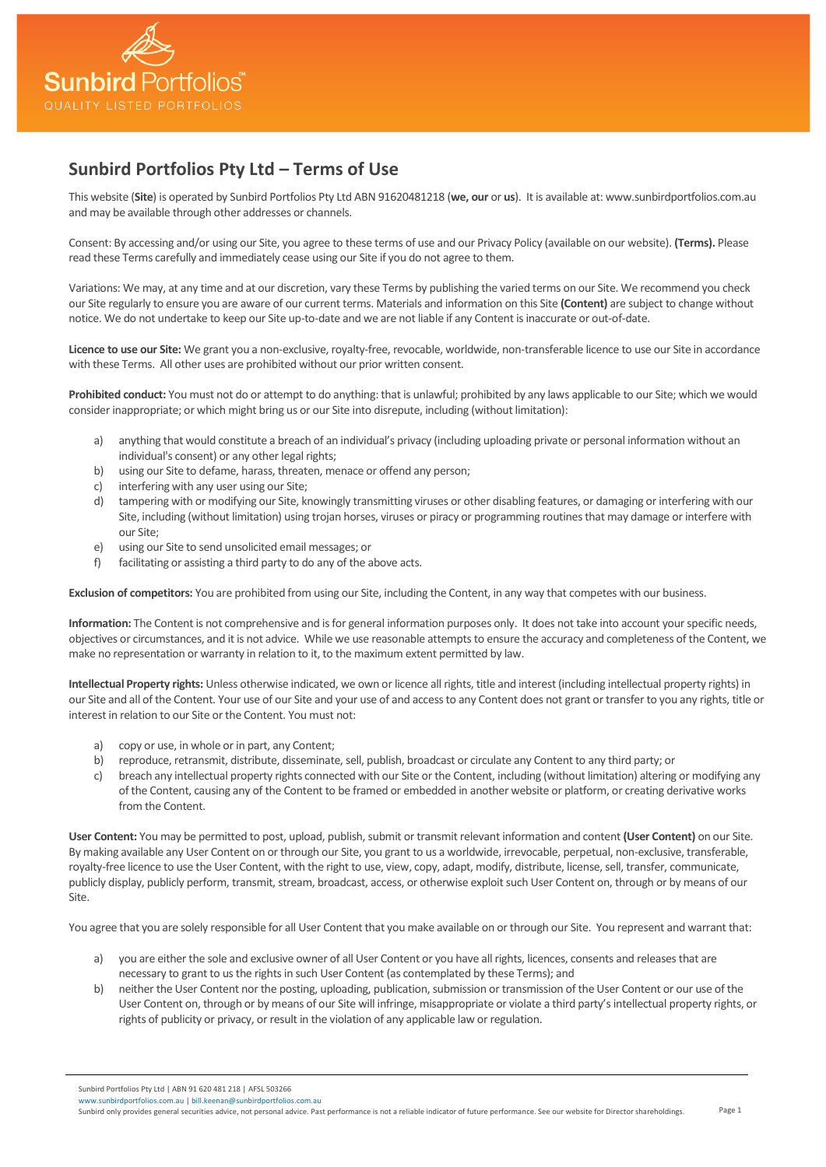

## **Sunbird Portfolios Pty Ltd – Terms of Use**

This website (**Site**) is operated by Sunbird Portfolios Pty Ltd ABN 91620481218 (**we, our** or **us**). It is available at: www.sunbirdportfolios.com.au and may be available through other addresses or channels.

Consent: By accessing and/or using our Site, you agree to these terms of use and our Privacy Policy (available on our website). **(Terms).** Please read these Terms carefully and immediately cease using our Site if you do not agree to them.

Variations: We may, at any time and at our discretion, vary these Terms by publishing the varied terms on our Site. We recommend you check our Site regularly to ensure you are aware of our current terms. Materials and information on this Site **(Content)** are subject to change without notice. We do not undertake to keep our Site up-to-date and we are not liable if any Content is inaccurate or out-of-date.

**Licence to use our Site:** We grant you a non-exclusive, royalty-free, revocable, worldwide, non-transferable licence to use our Site in accordance with these Terms. All other uses are prohibited without our prior written consent.

**Prohibited conduct:** You must not do or attempt to do anything: that is unlawful; prohibited by any laws applicable to our Site; which we would consider inappropriate; or which might bring us or our Site into disrepute, including (without limitation):

- a) anything that would constitute a breach of an individual's privacy (including uploading private or personal information without an individual's consent) or any other legal rights;
- b) using our Site to defame, harass, threaten, menace or offend any person;
- c) interfering with any user using our Site;
- d) tampering with or modifying our Site, knowingly transmitting viruses or other disabling features, or damaging or interfering with our Site, including (without limitation) using trojan horses, viruses or piracy or programming routines that may damage or interfere with our Site;
- e) using our Site to send unsolicited email messages; or
- f) facilitating or assisting a third party to do any of the above acts.

**Exclusion of competitors:** You are prohibited from using our Site, including the Content, in any way that competes with our business.

**Information:** The Content is not comprehensive and is for general information purposes only. It does not take into account your specific needs, objectives or circumstances, and it is not advice. While we use reasonable attempts to ensure the accuracy and completeness of the Content, we make no representation or warranty in relation to it, to the maximum extent permitted by law.

**Intellectual Property rights:** Unless otherwise indicated, we own or licence all rights, title and interest (including intellectual property rights) in our Site and all of the Content. Your use of our Site and your use of and access to any Content does not grant or transfer to you any rights, title or interest in relation to our Site or the Content. You must not:

- a) copy or use, in whole or in part, any Content;
- b) reproduce, retransmit, distribute, disseminate, sell, publish, broadcast or circulate any Content to any third party; or
- c) breach any intellectual property rights connected with our Site or the Content, including (without limitation) altering or modifying any of the Content, causing any of the Content to be framed or embedded in another website or platform, or creating derivative works from the Content.

**User Content:** You may be permitted to post, upload, publish, submit or transmit relevant information and content **(User Content)** on our Site. By making available any User Content on or through our Site, you grant to us a worldwide, irrevocable, perpetual, non-exclusive, transferable, royalty-free licence to use the User Content, with the right to use, view, copy, adapt, modify, distribute, license, sell, transfer, communicate, publicly display, publicly perform, transmit, stream, broadcast, access, or otherwise exploit such User Content on, through or by means of our Site.

You agree that you are solely responsible for all User Content that you make available on or through our Site. You represent and warrant that:

- a) you are either the sole and exclusive owner of all User Content or you have all rights, licences, consents and releases that are necessary to grant to us the rights in such User Content (as contemplated by these Terms); and
- b) neither the User Content nor the posting, uploading, publication, submission or transmission of the User Content or our use of the User Content on, through or by means of our Site will infringe, misappropriate or violate a third party's intellectual property rights, or rights of publicity or privacy, or result in the violation of any applicable law or regulation.

Sunbird Portfolios Pty Ltd | ABN 91 620 481 218 | AFSL 503266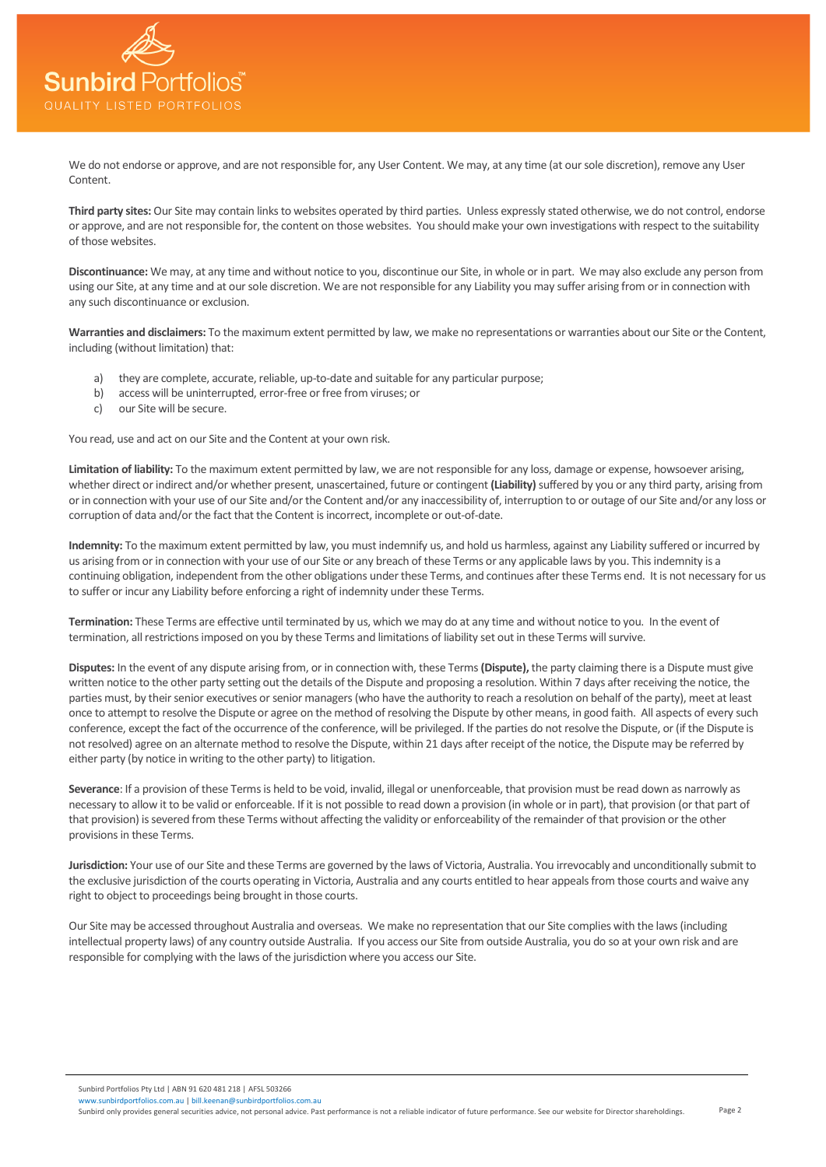

We do not endorse or approve, and are not responsible for, any User Content. We may, at any time (at our sole discretion), remove any User Content.

**Third party sites:** Our Site may contain links to websites operated by third parties. Unless expressly stated otherwise, we do not control, endorse or approve, and are not responsible for, the content on those websites. You should make your own investigations with respect to the suitability of those websites.

**Discontinuance:** We may, at any time and without notice to you, discontinue our Site, in whole or in part. We may also exclude any person from using our Site, at any time and at our sole discretion. We are not responsible for any Liability you may suffer arising from or in connection with any such discontinuance or exclusion.

**Warranties and disclaimers:** To the maximum extent permitted by law, we make no representations or warranties about our Site or the Content, including (without limitation) that:

- a) they are complete, accurate, reliable, up-to-date and suitable for any particular purpose;
- b) access will be uninterrupted, error-free or free from viruses; or
- c) our Site will be secure.

You read, use and act on our Site and the Content at your own risk.

**Limitation of liability:** To the maximum extent permitted by law, we are not responsible for any loss, damage or expense, howsoever arising, whether direct or indirect and/or whether present, unascertained, future or contingent (Liability) suffered by you or any third party, arising from or in connection with your use of our Site and/or the Content and/or any inaccessibility of, interruption to or outage of our Site and/or any loss or corruption of data and/or the fact that the Content is incorrect, incomplete or out-of-date.

**Indemnity:** To the maximum extent permitted by law, you must indemnify us, and hold us harmless, against any Liability suffered or incurred by us arising from or in connection with your use of our Site or any breach of these Terms or any applicable laws by you. This indemnity is a continuing obligation, independent from the other obligations under these Terms, and continues after these Terms end. It is not necessary for us to suffer or incur any Liability before enforcing a right of indemnity under these Terms.

**Termination:** These Terms are effective until terminated by us, which we may do at any time and without notice to you. In the event of termination, all restrictions imposed on you by these Terms and limitations of liability set out in these Terms will survive.

**Disputes:** In the event of any dispute arising from, or in connection with, these Terms **(Dispute),** the party claiming there is a Dispute must give written notice to the other party setting out the details of the Dispute and proposing a resolution. Within 7 days after receiving the notice, the parties must, by their senior executives or senior managers (who have the authority to reach a resolution on behalf of the party), meet at least once to attempt to resolve the Dispute or agree on the method of resolving the Dispute by other means, in good faith. All aspects of every such conference, except the fact of the occurrence of the conference, will be privileged. If the parties do not resolve the Dispute, or (if the Dispute is not resolved) agree on an alternate method to resolve the Dispute, within 21 days after receipt of the notice, the Dispute may be referred by either party (by notice in writing to the other party) to litigation.

**Severance**: If a provision of these Terms is held to be void, invalid, illegal or unenforceable, that provision must be read down as narrowly as necessary to allow it to be valid or enforceable. If it is not possible to read down a provision (in whole or in part), that provision (or that part of that provision) is severed from these Terms without affecting the validity or enforceability of the remainder of that provision or the other provisions in these Terms.

**Jurisdiction:** Your use of our Site and these Terms are governed by the laws of Victoria, Australia. You irrevocably and unconditionally submit to the exclusive jurisdiction of the courts operating in Victoria, Australia and any courts entitled to hear appeals from those courts and waive any right to object to proceedings being brought in those courts.

Our Site may be accessed throughout Australia and overseas. We make no representation that our Site complies with the laws (including intellectual property laws) of any country outside Australia. If you access our Site from outside Australia, you do so at your own risk and are responsible for complying with the laws of the jurisdiction where you access our Site.

Sunbird Portfolios Pty Ltd | ABN 91 620 481 218 | AFSL 503266 irdportfolios.com.au [| bill.keenan@sunbirdportfolios.com.au](mailto:bill.keenan@sunbirdportfolios.com.au)

Page 2 Sunbird only provides general securities advice, not personal advice. Past performance is not a reliable indicator of future performance. See our website for Director shareholdings.